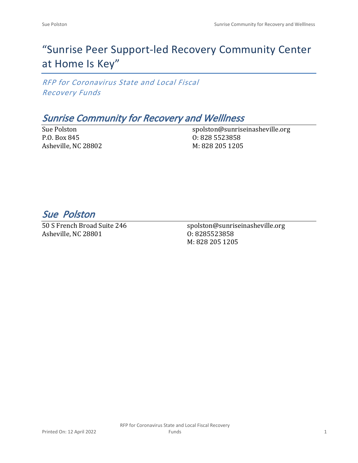# "Sunrise Peer Support-led Recovery Community Center at Home Is Key"

*RFP for Coronavirus State and Local Fiscal Recovery Funds*

### *Sunrise Community for Recovery and Welllness*

Sue Polston P.O. Box 845 Asheville, NC 28802 spolston@sunriseinasheville.org O: 828 5523858 M: 828 205 1205

*Sue Polston* 

50 S French Broad Suite 246 Asheville, NC 28801

spolston@sunriseinasheville.org O: 8285523858 M: 828 205 1205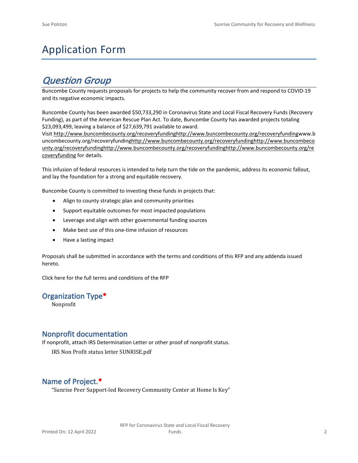## Application Form

## *Question Group*

Buncombe County requests proposals for projects to help the community recover from and respond to COVID-19 and its negative economic impacts.

Buncombe County has been awarded \$50,733,290 in Coronavirus State and Local Fiscal Recovery Funds (Recovery Funding), as part of the American Rescue Plan Act. To date, Buncombe County has awarded projects totaling \$23,093,499, leaving a balance of \$27,639,791 available to award.

Visit [http://www.buncombecounty.org/recoveryfundinghttp://www.buncombecounty.org/recoveryfundingwww.b](http://www.buncombecounty.org/recoveryfunding) [uncombecounty.org/recoveryfundinghttp://www.buncombecounty.org/recoveryfundinghttp://www.buncombeco](http://www.buncombecounty.org/recoveryfunding) [unty.org/recoveryfundinghttp://www.buncombecounty.org/recoveryfundinghttp://www.buncombecounty.org/re](http://www.buncombecounty.org/recoveryfunding) [coveryfunding](http://www.buncombecounty.org/recoveryfunding) for details.

This infusion of federal resources is intended to help turn the tide on the pandemic, address its economic fallout, and lay the foundation for a strong and equitable recovery.

Buncombe County is committed to investing these funds in projects that:

- Align to county strategic plan and community priorities
- Support equitable outcomes for most impacted populations
- Leverage and align with other governmental funding sources
- Make best use of this one-time infusion of resources
- Have a lasting impact

Proposals shall be submitted in accordance with the terms and conditions of this RFP and any addenda issued hereto.

Click [here](https://www.buncombecounty.org/common/purchasing/Buncombe%20Recovery%20Funding%20RFP%202022.pdf) for the full terms and conditions of the RFP

#### **Organization Type\***

Nonprofit

#### **Nonprofit documentation**

If nonprofit, attach IRS Determination Letter or other proof of nonprofit status.

IRS Non Profit status letter SUNRISE.pdf

### **Name of Project.\***

"Sunrise Peer Support-led Recovery Community Center at Home Is Key"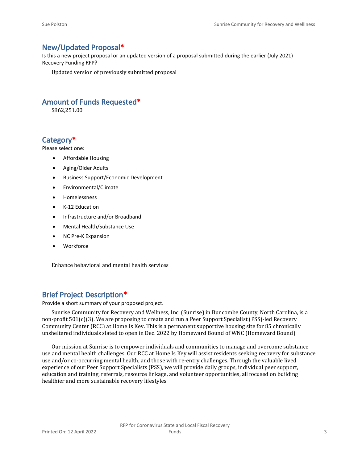#### **New/Updated Proposal\***

Is this a new project proposal or an updated version of a proposal submitted during the earlier (July 2021) Recovery Funding RFP?

Updated version of previously submitted proposal

#### **Amount of Funds Requested\***

\$862,251.00

#### **Category\***

Please select one:

- Affordable Housing
- Aging/Older Adults
- Business Support/Economic Development
- Environmental/Climate
- Homelessness
- K-12 Education
- Infrastructure and/or Broadband
- Mental Health/Substance Use
- NC Pre-K Expansion
- Workforce

Enhance behavioral and mental health services

#### **Brief Project Description\***

Provide a short summary of your proposed project.

Sunrise Community for Recovery and Wellness, Inc. (Sunrise) in Buncombe County, North Carolina, is a non-profit 501(c)(3). We are proposing to create and run a Peer Support Specialist (PSS)-led Recovery Community Center (RCC) at Home Is Key. This is a permanent supportive housing site for 85 chronically unsheltered individuals slated to open in Dec. 2022 by Homeward Bound of WNC (Homeward Bound).

Our mission at Sunrise is to empower individuals and communities to manage and overcome substance use and mental health challenges. Our RCC at Home Is Key will assist residents seeking recovery for substance use and/or co-occurring mental health, and those with re-entry challenges. Through the valuable lived experience of our Peer Support Specialists (PSS), we will provide daily groups, individual peer support, education and training, referrals, resource linkage, and volunteer opportunities, all focused on building healthier and more sustainable recovery lifestyles.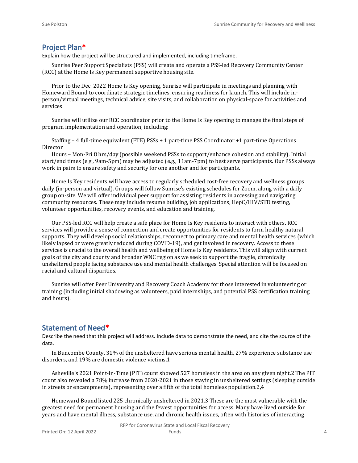#### **Project Plan\***

Explain how the project will be structured and implemented, including timeframe.

Sunrise Peer Support Specialists (PSS) will create and operate a PSS-led Recovery Community Center (RCC) at the Home Is Key permanent supportive housing site.

Prior to the Dec. 2022 Home Is Key opening, Sunrise will participate in meetings and planning with Homeward Bound to coordinate strategic timelines, ensuring readiness for launch. This will include inperson/virtual meetings, technical advice, site visits, and collaboration on physical-space for activities and services.

Sunrise will utilize our RCC coordinator prior to the Home Is Key opening to manage the final steps of program implementation and operation, including:

Staffing – 4 full-time equivalent (FTE) PSSs + 1 part-time PSS Coordinator +1 part-time Operations Director

Hours – Mon-Fri 8 hrs/day (possible weekend PSSs to support/enhance cohesion and stability). Initial start/end times (e.g., 9am-5pm) may be adjusted (e.g., 11am-7pm) to best serve participants. Our PSSs always work in pairs to ensure safety and security for one another and for participants.

Home Is Key residents will have access to regularly scheduled cost-free recovery and wellness groups daily (in-person and virtual). Groups will follow Sunrise's existing schedules for Zoom, along with a daily group on-site. We will offer individual peer support for assisting residents in accessing and navigating community resources. These may include resume building, job applications, HepC/HIV/STD testing, volunteer opportunities, recovery events, and education and training.

Our PSS-led RCC will help create a safe place for Home Is Key residents to interact with others. RCC services will provide a sense of connection and create opportunities for residents to form healthy natural supports. They will develop social relationships, reconnect to primary care and mental health services (which likely lapsed or were greatly reduced during COVID-19), and get involved in recovery. Access to these services is crucial to the overall health and wellbeing of Home Is Key residents. This will align with current goals of the city and county and broader WNC region as we seek to support the fragile, chronically unsheltered people facing substance use and mental health challenges. Special attention will be focused on racial and cultural disparities.

Sunrise will offer Peer University and Recovery Coach Academy for those interested in volunteering or training (including initial shadowing as volunteers, paid internships, and potential PSS certification training and hours).

#### **Statement of Need\***

Describe the need that this project will address. Include data to demonstrate the need, and cite the source of the data.

In Buncombe County, 31% of the unsheltered have serious mental health, 27% experience substance use disorders, and 19% are domestic violence victims.1

Asheville's 2021 Point-in-Time (PIT) count showed 527 homeless in the area on any given night.2 The PIT count also revealed a 78% increase from 2020-2021 in those staying in unsheltered settings (sleeping outside in streets or encampments), representing over a fifth of the total homeless population.2,4

Homeward Bound listed 225 chronically unsheltered in 2021.3 These are the most vulnerable with the greatest need for permanent housing and the fewest opportunities for access. Many have lived outside for years and have mental illness, substance use, and chronic health issues, often with histories of interacting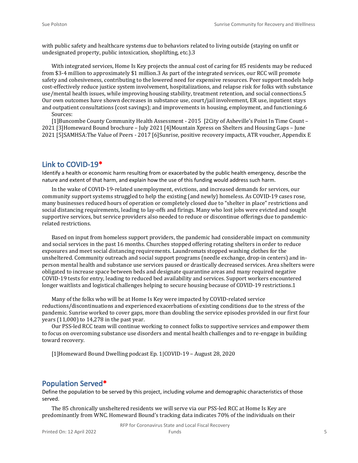with public safety and healthcare systems due to behaviors related to living outside (staying on unfit or undesignated property, public intoxication, shoplifting, etc.).3

With integrated services, Home Is Key projects the annual cost of caring for 85 residents may be reduced from \$3-4 million to approximately \$1 million.3 As part of the integrated services, our RCC will promote safety and cohesiveness, contributing to the lowered need for expensive resources. Peer support models help cost-effectively reduce justice system involvement, hospitalizations, and relapse risk for folks with substance use/mental health issues, while improving housing stability, treatment retention, and social connections.5 Our own outcomes have shown decreases in substance use, court/jail involvement, ER use, inpatient stays and outpatient consultations (cost savings); and improvements in housing, employment, and functioning.6

Sources:

[1]Buncombe County Community Health Assessment - 2015 [2City of Asheville's Point In Time Count – 2021 [3]Homeward Bound brochure – July 2021 [4]Mountain Xpress on Shelters and Housing Gaps – June 2021 [5]SAMHSA:The Value of Peers - 2017 [6]Sunrise, positive recovery impacts, ATR voucher, Appendix E

#### **Link to COVID-19\***

Identify a health or economic harm resulting from or exacerbated by the public health emergency, describe the nature and extent of that harm, and explain how the use of this funding would address such harm.

In the wake of COVID-19-related unemployment, evictions, and increased demands for services, our community support systems struggled to help the existing (and newly) homeless. As COVID-19 cases rose, many businesses reduced hours of operation or completely closed due to "shelter in place" restrictions and social distancing requirements, leading to lay-offs and firings. Many who lost jobs were evicted and sought supportive services, but service providers also needed to reduce or discontinue offerings due to pandemicrelated restrictions.

Based on input from homeless support providers, the pandemic had considerable impact on community and social services in the past 16 months. Churches stopped offering rotating shelters in order to reduce exposures and meet social distancing requirements. Laundromats stopped washing clothes for the unsheltered. Community outreach and social support programs (needle exchange, drop-in centers) and inperson mental health and substance use services paused or drastically decreased services. Area shelters were obligated to increase space between beds and designate quarantine areas and many required negative COVID-19 tests for entry, leading to reduced bed availability and services. Support workers encountered longer waitlists and logistical challenges helping to secure housing because of COVID-19 restrictions.1

Many of the folks who will be at Home Is Key were impacted by COVID-related service reductions/discontinuations and experienced exacerbations of existing conditions due to the stress of the pandemic. Sunrise worked to cover gaps, more than doubling the service episodes provided in our first four years (11,000) to 14,278 in the past year.

Our PSS-led RCC team will continue working to connect folks to supportive services and empower them to focus on overcoming substance use disorders and mental health challenges and to re-engage in building toward recovery.

[1]Homeward Bound Dwelling podcast Ep. 1|COVID-19 – August 28, 2020

#### **Population Served\***

Define the population to be served by this project, including volume and demographic characteristics of those served.

The 85 chronically unsheltered residents we will serve via our PSS-led RCC at Home Is Key are predominantly from WNC. Homeward Bound's tracking data indicates 70% of the individuals on their

RFP for Coronavirus State and Local Fiscal Recovery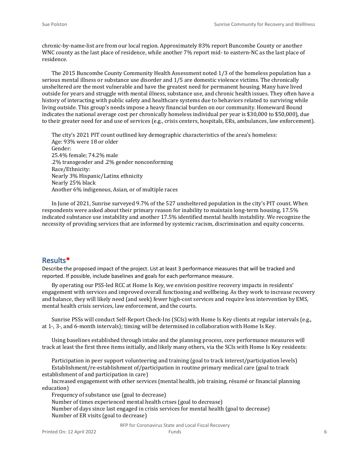chronic-by-name-list are from our local region. Approximately 83% report Buncombe County or another WNC county as the last place of residence, while another 7% report mid- to eastern-NC as the last place of residence.

The 2015 Buncombe County Community Health Assessment noted 1/3 of the homeless population has a serious mental illness or substance use disorder and 1/5 are domestic violence victims. The chronically unsheltered are the most vulnerable and have the greatest need for permanent housing. Many have lived outside for years and struggle with mental illness, substance use, and chronic health issues. They often have a history of interacting with public safety and healthcare systems due to behaviors related to surviving while living outside. This group's needs impose a heavy financial burden on our community. Homeward Bound indicates the national average cost per chronically homeless individual per year is \$30,000 to \$50,000), due to their greater need for and use of services (e.g., crisis centers, hospitals, ERs, ambulances, law enforcement).

The city's 2021 PIT count outlined key demographic characteristics of the area's homeless: Age: 93% were 18 or older Gender: 25.4% female; 74.2% male .2% transgender and .2% gender nonconforming Race/Ethnicity: Nearly 3% Hispanic/Latinx ethnicity Nearly 25% black Another 6% indigenous, Asian, or of multiple races

In June of 2021, Sunrise surveyed 9.7% of the 527 unsheltered population in the city's PIT count. When respondents were asked about their primary reason for inability to maintain long-term housing, 17.5% indicated substance use instability and another 17.5% identified mental health instability. We recognize the necessity of providing services that are informed by systemic racism, discrimination and equity concerns.

#### **Results\***

Describe the proposed impact of the project. List at least 3 performance measures that will be tracked and reported. If possible, include baselines and goals for each performance measure.

By operating our PSS-led RCC at Home Is Key, we envision positive recovery impacts in residents' engagement with services and improved overall functioning and wellbeing. As they work to increase recovery and balance, they will likely need (and seek) fewer high-cost services and require less intervention by EMS, mental health crisis services, law enforcement, and the courts.

Sunrise PSSs will conduct Self-Report Check-Ins (SCIs) with Home Is Key clients at regular intervals (e.g., at 1-, 3-, and 6-month intervals); timing will be determined in collaboration with Home Is Key.

Using baselines established through intake and the planning process, core performance measures will track at least the first three items initially, and likely many others, via the SCIs with Home Is Key residents:

Participation in peer support volunteering and training (goal to track interest/participation levels) Establishment/re-establishment of/participation in routine primary medical care (goal to track establishment of and participation in care)

Increased engagement with other services (mental health, job training, résumé or financial planning education)

Frequency of substance use (goal to decrease)

Number of times experienced mental health crises (goal to decrease)

Number of days since last engaged in crisis services for mental health (goal to decrease) Number of ER visits (goal to decrease)

RFP for Coronavirus State and Local Fiscal Recovery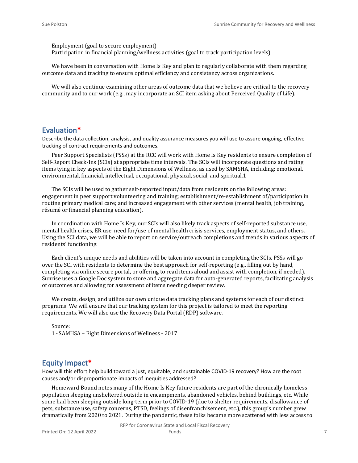Employment (goal to secure employment) Participation in financial planning/wellness activities (goal to track participation levels)

We have been in conversation with Home Is Key and plan to regularly collaborate with them regarding outcome data and tracking to ensure optimal efficiency and consistency across organizations.

We will also continue examining other areas of outcome data that we believe are critical to the recovery community and to our work (e.g., may incorporate an SCI item asking about Perceived Quality of Life).

#### **Evaluation\***

Describe the data collection, analysis, and quality assurance measures you will use to assure ongoing, effective tracking of contract requirements and outcomes.

Peer Support Specialists (PSSs) at the RCC will work with Home Is Key residents to ensure completion of Self-Report Check-Ins (SCIs) at appropriate time intervals. The SCIs will incorporate questions and rating items tying in key aspects of the Eight Dimensions of Wellness, as used by SAMSHA, including: emotional, environmental, financial, intellectual, occupational, physical, social, and spiritual.1

The SCIs will be used to gather self-reported input/data from residents on the following areas: engagement in peer support volunteering and training; establishment/re-establishment of/participation in routine primary medical care; and increased engagement with other services (mental health, job training, résumé or financial planning education).

In coordination with Home Is Key, our SCIs will also likely track aspects of self-reported substance use, mental health crises, ER use, need for/use of mental health crisis services, employment status, and others. Using the SCI data, we will be able to report on service/outreach completions and trends in various aspects of residents' functioning.

Each client's unique needs and abilities will be taken into account in completing the SCIs. PSSs will go over the SCI with residents to determine the best approach for self-reporting (e.g., filling out by hand, completing via online secure portal, or offering to read items aloud and assist with completion, if needed). Sunrise uses a Google Doc system to store and aggregate data for auto-generated reports, facilitating analysis of outcomes and allowing for assessment of items needing deeper review.

We create, design, and utilize our own unique data tracking plans and systems for each of our distinct programs. We will ensure that our tracking system for this project is tailored to meet the reporting requirements. We will also use the Recovery Data Portal (RDP) software.

Source: 1 - SAMHSA – Eight Dimensions of Wellness - 2017

#### **Equity Impact\***

How will this effort help build toward a just, equitable, and sustainable COVID-19 recovery? How are the root causes and/or disproportionate impacts of inequities addressed?

Homeward Bound notes many of the Home Is Key future residents are part of the chronically homeless population sleeping unsheltered outside in encampments, abandoned vehicles, behind buildings, etc. While some had been sleeping outside long-term prior to COVID-19 (due to shelter requirements, disallowance of pets, substance use, safety concerns, PTSD, feelings of disenfranchisement, etc.), this group's number grew dramatically from 2020 to 2021. During the pandemic, these folks became more scattered with less access to

RFP for Coronavirus State and Local Fiscal Recovery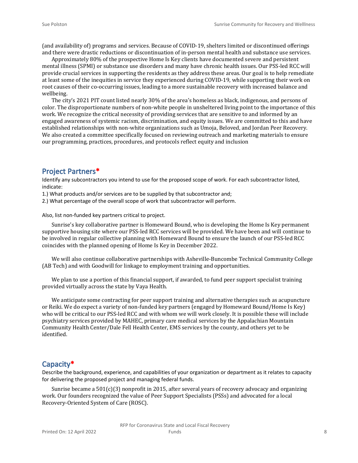(and availability of) programs and services. Because of COVID-19, shelters limited or discontinued offerings and there were drastic reductions or discontinuation of in-person mental health and substance use services.

Approximately 80% of the prospective Home Is Key clients have documented severe and persistent mental illness (SPMI) or substance use disorders and many have chronic health issues. Our PSS-led RCC will provide crucial services in supporting the residents as they address these areas. Our goal is to help remediate at least some of the inequities in service they experienced during COVID-19, while supporting their work on root causes of their co-occurring issues, leading to a more sustainable recovery with increased balance and wellbeing.

The city's 2021 PIT count listed nearly 30% of the area's homeless as black, indigenous, and persons of color. The disproportionate numbers of non-white people in unsheltered living point to the importance of this work. We recognize the critical necessity of providing services that are sensitive to and informed by an engaged awareness of systemic racism, discrimination, and equity issues. We are committed to this and have established relationships with non-white organizations such as Umoja, Beloved, and Jordan Peer Recovery. We also created a committee specifically focused on reviewing outreach and marketing materials to ensure our programming, practices, procedures, and protocols reflect equity and inclusion

#### **Project Partners\***

Identify any subcontractors you intend to use for the proposed scope of work. For each subcontractor listed, indicate:

- 1.) What products and/or services are to be supplied by that subcontractor and;
- 2.) What percentage of the overall scope of work that subcontractor will perform.

Also, list non-funded key partners critical to project.

Sunrise's key collaborative partner is Homeward Bound, who is developing the Home Is Key permanent supportive housing site where our PSS-led RCC services will be provided. We have been and will continue to be involved in regular collective planning with Homeward Bound to ensure the launch of our PSS-led RCC coincides with the planned opening of Home Is Key in December 2022.

We will also continue collaborative partnerships with Asheville-Buncombe Technical Community College (AB Tech) and with Goodwill for linkage to employment training and opportunities.

We plan to use a portion of this financial support, if awarded, to fund peer support specialist training provided virtually across the state by Vaya Health.

We anticipate some contracting for peer support training and alternative therapies such as acupuncture or Reiki. We do expect a variety of non-funded key partners (engaged by Homeward Bound/Home Is Key) who will be critical to our PSS-led RCC and with whom we will work closely. It is possible these will include psychiatry services provided by MAHEC, primary care medical services by the Appalachian Mountain Community Health Center/Dale Fell Health Center, EMS services by the county, and others yet to be identified.

#### **Capacity\***

Describe the background, experience, and capabilities of your organization or department as it relates to capacity for delivering the proposed project and managing federal funds.

Sunrise became a  $501(c)(3)$  nonprofit in 2015, after several years of recovery advocacy and organizing work. Our founders recognized the value of Peer Support Specialists (PSSs) and advocated for a local Recovery-Oriented System of Care (ROSC).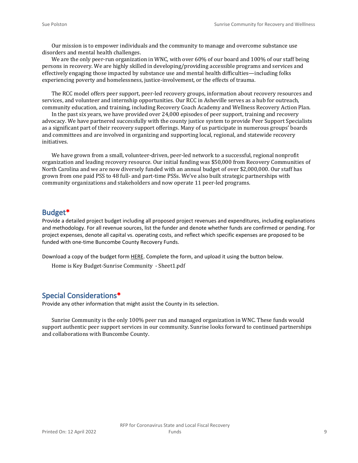Our mission is to empower individuals and the community to manage and overcome substance use disorders and mental health challenges.

We are the only peer-run organization in WNC, with over 60% of our board and 100% of our staff being persons in recovery. We are highly skilled in developing/providing accessible programs and services and effectively engaging those impacted by substance use and mental health difficulties—including folks experiencing poverty and homelessness, justice-involvement, or the effects of trauma.

The RCC model offers peer support, peer-led recovery groups, information about recovery resources and services, and volunteer and internship opportunities. Our RCC in Asheville serves as a hub for outreach, community education, and training, including Recovery Coach Academy and Wellness Recovery Action Plan.

In the past six years, we have provided over 24,000 episodes of peer support, training and recovery advocacy. We have partnered successfully with the county justice system to provide Peer Support Specialists as a significant part of their recovery support offerings. Many of us participate in numerous groups' boards and committees and are involved in organizing and supporting local, regional, and statewide recovery initiatives.

We have grown from a small, volunteer-driven, peer-led network to a successful, regional nonprofit organization and leading recovery resource. Our initial funding was \$50,000 from Recovery Communities of North Carolina and we are now diversely funded with an annual budget of over \$2,000,000. Our staff has grown from one paid PSS to 48 full- and part-time PSSs. We've also built strategic partnerships with community organizations and stakeholders and now operate 11 peer-led programs.

#### **Budget\***

Provide a detailed project budget including all proposed project revenues and expenditures, including explanations and methodology. For all revenue sources, list the funder and denote whether funds are confirmed or pending. For project expenses, denote all capital vs. operating costs, and reflect which specific expenses are proposed to be funded with one-time Buncombe County Recovery Funds.

Download a copy of the budget form [HERE](https://buncombecounty.org/common/community-investment/grants/early-childhood-education/Recovery-Funds-budget-template.xlsx). Complete the form, and upload it using the button below.

Home is Key Budget-Sunrise Community - Sheet1.pdf

#### **Special Considerations\***

Provide any other information that might assist the County in its selection.

Sunrise Community is the only 100% peer run and managed organization in WNC. These funds would support authentic peer support services in our community. Sunrise looks forward to continued partnerships and collaborations with Buncombe County.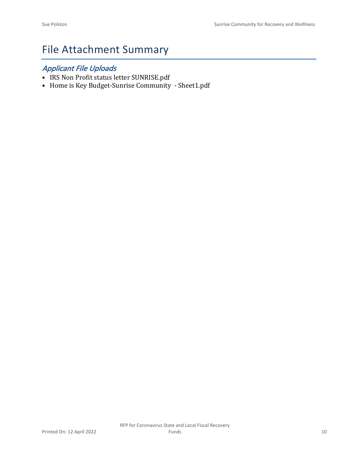## File Attachment Summary

### *Applicant File Uploads*

- IRS Non Profit status letter SUNRISE.pdf
- Home is Key Budget-Sunrise Community Sheet1.pdf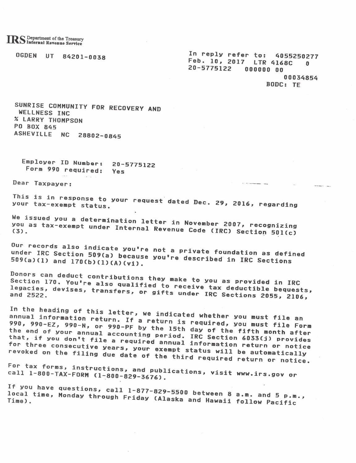OGDEN UT 84201-0038

In reply refer to: 4055250277<br>Feb. 10, 2017 LTR 4168C 0 20-5775122 000000 00 00034854

**BODC: TE** 

SUNRISE COMMUNITY FOR RECOVERY AND WELLNESS INC **% LARRY THOMPSON** PO BOX 845 ASHEVILLE NC 28802-0845

Employer ID Number: 20-5775122 Form 990 required: Yes

Dear Taxpayer:

This is in response to your request dated Dec. 29, 2016, regarding your tax-exempt status.

We issued you a determination letter in November 2007, recognizing you as tax-exempt under Internal Revenue Code (IRC) Section 501(c)

Our records also indicate you're not a private foundation as defined under IRC Section 509(a) because you're described in IRC Sections 509(a)(1) and 170(b)(1)(A)(vi).

Donors can deduct contributions they make to you as provided in IRC Section 170. You're also qualified to receive tax deductible bequests, legacies, devises, transfers, or gifts under IRC Sections 2055, 2106,

In the heading of this letter, we indicated whether you must file an annual information return. If a return is required, you must file Form 990, 990-EZ, 990-N, or 990-PF by the 15th day of the fifth month after the end of your annual accounting period. IRC Section 6033(j) provides<br>that, if you don't file a required annual information return or notice for three consecutive years, your exempt status will be automatically revoked on the filing due date of the third required return or notice.

For tax forms, instructions, and publications, visit www.irs.gov or call 1-800-TAX-FORM (1-800-829-3676).

If you have questions, call 1-877-829-5500 between 8 a.m. and 5 p.m., local time, Monday through Friday (Alaska and Hawaii follow Pacific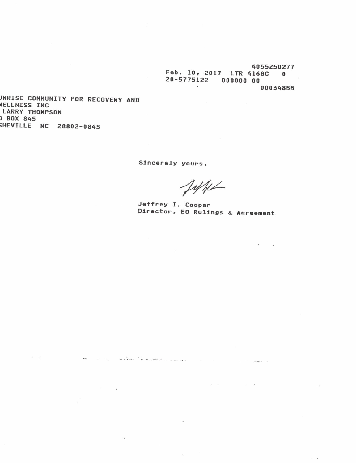4055250277 Feb. 10, 2017 LTR 4168C 0 20-5775122 000000 00  $\sim$ 00034855

*INRISE COMMUNITY FOR RECOVERY AND* VELLNESS INC **LARRY THOMPSON BOX 845** HEVILLE NC 28802-0845

 $\sim$ 

 $\frac{1}{2}$ 

 $\mathcal{A}=\mathcal{A}$  ,  $\mathcal{A}=\mathcal{A}$ 

 $\alpha$ 

Sincerely yours,

and the company of the company of the company of the company of the company of the company of the company of the company of the company of the company of the company of the company of the company of the company of the comp

own.

Jeffe

-92

Jeffrey I. Cooper Director, EO Rulings & Agreement

 $\sim$   $\sim$ 

 $\sim 10$ 

 $\mathcal{L}(\mathbf{r}) = \mathbf{r}$ 

 $\label{eq:3.1} (2) \qquad \ \ \, 2 \qquad \qquad \ \ \, 0 \qquad \ \ \, 2 \qquad \qquad$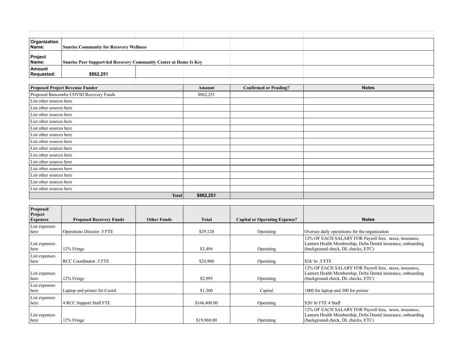| Organization<br>Name:                              | <b>Sunrise Community for Recovery Wellness</b>                           |                    |              |                                      |                                                                                                                                                               |
|----------------------------------------------------|--------------------------------------------------------------------------|--------------------|--------------|--------------------------------------|---------------------------------------------------------------------------------------------------------------------------------------------------------------|
| Project<br>Name:                                   | <b>Sunrise Peer Support-led Recovery Community Center at Home Is Key</b> |                    |              |                                      |                                                                                                                                                               |
| Amount<br>Requested:                               | \$862,251                                                                |                    |              |                                      |                                                                                                                                                               |
|                                                    |                                                                          |                    |              |                                      |                                                                                                                                                               |
|                                                    | <b>Proposed Project Revenue Funder</b>                                   |                    | Amount       | <b>Confirmed or Pending?</b>         | <b>Notes</b>                                                                                                                                                  |
| Proposed Buncombe COVID Recovery Funds             |                                                                          |                    | \$862,251    |                                      |                                                                                                                                                               |
| List other sources here                            |                                                                          |                    |              |                                      |                                                                                                                                                               |
| List other sources here                            |                                                                          |                    |              |                                      |                                                                                                                                                               |
| List other sources here                            |                                                                          |                    |              |                                      |                                                                                                                                                               |
| List other sources here                            |                                                                          |                    |              |                                      |                                                                                                                                                               |
| List other sources here                            |                                                                          |                    |              |                                      |                                                                                                                                                               |
| List other sources here<br>List other sources here |                                                                          |                    |              |                                      |                                                                                                                                                               |
| List other sources here                            |                                                                          |                    |              |                                      |                                                                                                                                                               |
| List other sources here                            |                                                                          |                    |              |                                      |                                                                                                                                                               |
| List other sources here                            |                                                                          |                    |              |                                      |                                                                                                                                                               |
| List other sources here                            |                                                                          |                    |              |                                      |                                                                                                                                                               |
| List other sources here                            |                                                                          |                    |              |                                      |                                                                                                                                                               |
| List other sources here                            |                                                                          |                    |              |                                      |                                                                                                                                                               |
| List other sources here                            |                                                                          |                    |              |                                      |                                                                                                                                                               |
| <b>Total</b>                                       |                                                                          | \$862,251          |              |                                      |                                                                                                                                                               |
|                                                    |                                                                          |                    |              |                                      |                                                                                                                                                               |
| Proposed<br>Project<br><b>Expenses</b>             | <b>Proposed Recovery Funds</b>                                           | <b>Other Funds</b> | <b>Total</b> | <b>Capital or Operating Expense?</b> | <b>Notes</b>                                                                                                                                                  |
| List expenses                                      |                                                                          |                    |              |                                      |                                                                                                                                                               |
| here                                               | Operations Director .5 FTE                                               |                    | \$29,120     | Operating                            | Oversee daily operatioms for the organization                                                                                                                 |
| List expenses<br>here                              | 12% Fringe                                                               |                    | \$3,494      | Operating                            | 12% OF EACH SALARY FOR Payroll fees, taxes, insurance,<br>Lantern Health Membership, Delta Dental insurance, onboarding<br>(background check, DL checks, ETC) |
| List expenses<br>here                              | RCC Coordinator .5 FTE                                                   |                    | \$24,960     | Operating                            | \$24/ hr .5 FTE                                                                                                                                               |
| List expenses<br>here                              | 12% Fringe                                                               |                    | \$2,995      | Operating                            | 12% OF EACH SALARY FOR Payroll fees, taxes, insurance,<br>Lantern Health Membership, Delta Dental insurance, onboarding<br>(background check, DL checks, ETC) |
| List expenses<br>here                              | Laptop and printer for Coord.                                            |                    | \$1,300      | Capital                              | 1000 for laptop and 300 for printer                                                                                                                           |
| List expenses<br>here                              | 4 RCC Support Staff FTE                                                  |                    | \$166,400.00 | Operating                            | \$20/ hr FTE 4 Staff                                                                                                                                          |
| List expenses<br>here                              | 12% Fringe                                                               |                    | \$19,968.00  | Operating                            | 12% OF EACH SALARY FOR Payroll fees, taxes, insurance,<br>Lantern Health Membership, Delta Dental insurance, onboarding<br>(background check, DL checks, ETC) |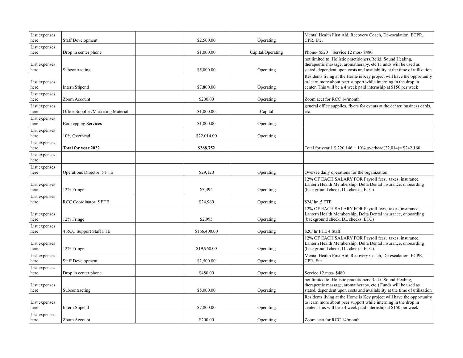| List expenses<br>here | <b>Staff Development</b>                  | \$2,500.00   | Operating         | Mental Health First Aid, Recovery Coach, De-escalation, ECPR,<br>CPR, Etc.                                                                                                                                  |
|-----------------------|-------------------------------------------|--------------|-------------------|-------------------------------------------------------------------------------------------------------------------------------------------------------------------------------------------------------------|
| List expenses<br>here | Drop in center phone                      | \$1,000.00   | Capital/Operating | Phone-\$520 Service 12 mos-\$480                                                                                                                                                                            |
| List expenses<br>here | Subcontracting                            | \$5,000.00   | Operating         | not limited to: Holistic practitioners, Reiki, Sound Healing,<br>therapeutic massage, aromatherapy, etc.) Funds will be used as<br>stated, dependent upon costs and availability at the time of utilization |
| List expenses<br>here | Intern Stipend                            | \$7,800.00   | Operating         | Residents living at the Home is Key project will have the opportunity<br>to learn more about peer support while interning in the drop in<br>center. This will be a 4 week paid internship at \$150 per week |
| List expenses<br>here | Zoom Account                              | \$200.00     | Operating         | Zoom acct for RCC 14/month                                                                                                                                                                                  |
| List expenses<br>here | <b>Office Supplies/Marketing Material</b> | \$1,000.00   | Capital           | general office supplies, flyers for events at the center, business cards,<br>etc.                                                                                                                           |
| List expenses<br>here | <b>Bookepping Services</b>                | \$1,000.00   | Operating         |                                                                                                                                                                                                             |
| List expenses<br>here | 10% Overhead                              | \$22,014.00  | Operating         |                                                                                                                                                                                                             |
| List expenses<br>here | <b>Total for year 2022</b>                | \$288,752    |                   | Total for year $1 \text{ } $220,146 + 10\%$ overhead(22,014)= \$242,160                                                                                                                                     |
| List expenses<br>here |                                           |              |                   |                                                                                                                                                                                                             |
| List expenses<br>here | Operations Director .5 FTE                | \$29,120     | Operating         | Oversee daily operations for the organization.                                                                                                                                                              |
| List expenses<br>here | 12% Fringe                                | \$3,494      | Operating         | 12% OF EACH SALARY FOR Payroll fees, taxes, insurance,<br>Lantern Health Membership, Delta Dental insurance, onboarding<br>(background check, DL checks, ETC)                                               |
| List expenses<br>here | RCC Coordinator .5 FTE                    | \$24,960     | Operating         | \$24/ hr .5 FTE                                                                                                                                                                                             |
| List expenses<br>here | 12% Fringe                                | \$2,995      | Operating         | 12% OF EACH SALARY FOR Payroll fees, taxes, insurance,<br>Lantern Health Membership, Delta Dental insurance, onboarding<br>(background check, DL checks, ETC)                                               |
| List expenses<br>here | 4 RCC Support Staff FTE                   | \$166,400.00 | Operating         | \$20/ hr FTE 4 Staff                                                                                                                                                                                        |
| List expenses<br>here | 12% Fringe                                | \$19,968.00  | Operating         | 12% OF EACH SALARY FOR Payroll fees, taxes, insurance,<br>Lantern Health Membership, Delta Dental insurance, onboarding<br>(background check, DL checks, ETC)                                               |
| List expenses<br>here | <b>Staff Development</b>                  | \$2,500.00   | Operating         | Mental Health First Aid, Recovery Coach, De-escalation, ECPR,<br>CPR, Etc.                                                                                                                                  |
| List expenses<br>here | Drop in center phone                      | \$480.00     | Operating         | Service 12 mos-\$480                                                                                                                                                                                        |
| List expenses<br>here | Subcontracting                            | \$5,000.00   | Operating         | not limited to: Holistic practitioners, Reiki, Sound Healing,<br>therapeutic massage, aromatherapy, etc.) Funds will be used as<br>stated, dependent upon costs and availability at the time of utilization |
| List expenses<br>here | Intern Stipend                            | \$7,800.00   | Operating         | Residents living at the Home is Key project will have the opportunity<br>to learn more about peer support while interning in the drop in<br>center. This will be a 4 week paid internship at \$150 per week |
| List expenses<br>here | Zoom Account                              | \$200.00     | Operating         | Zoom acct for RCC 14/month                                                                                                                                                                                  |